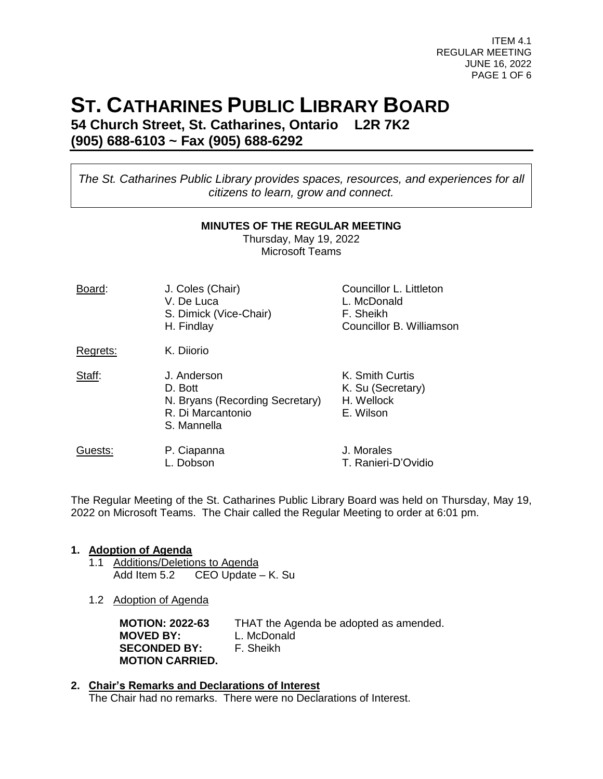ITEM 4.1 REGULAR MEETING JUNE 16, 2022 PAGE 1 OF 6

# **ST. CATHARINES PUBLIC LIBRARY BOARD**

**54 Church Street, St. Catharines, Ontario L2R 7K2 (905) 688-6103 ~ Fax (905) 688-6292**

*The St. Catharines Public Library provides spaces, resources, and experiences for all citizens to learn, grow and connect.*

#### **MINUTES OF THE REGULAR MEETING**

Thursday, May 19, 2022 Microsoft Teams

| Board:   | J. Coles (Chair)<br>V. De Luca<br>S. Dimick (Vice-Chair)<br>H. Findlay                        | Councillor L. Littleton<br>L. McDonald<br>F. Sheikh<br>Councillor B. Williamson |
|----------|-----------------------------------------------------------------------------------------------|---------------------------------------------------------------------------------|
| Regrets: | K. Diiorio                                                                                    |                                                                                 |
| Staff:   | J. Anderson<br>D. Bott<br>N. Bryans (Recording Secretary)<br>R. Di Marcantonio<br>S. Mannella | K. Smith Curtis<br>K. Su (Secretary)<br>H. Wellock<br>E. Wilson                 |
| Guests:  | P. Ciapanna<br>Dobson                                                                         | J. Morales<br>T. Ranieri-D'Ovidio                                               |

The Regular Meeting of the St. Catharines Public Library Board was held on Thursday, May 19, 2022 on Microsoft Teams. The Chair called the Regular Meeting to order at 6:01 pm.

# **1. Adoption of Agenda**

- 1.1 Additions/Deletions to Agenda Add Item 5.2 CEO Update – K. Su
- 1.2 Adoption of Agenda

**MOTION: 2022-63** THAT the Agenda be adopted as amended. **MOVED BY:** L. McDonald **SECONDED BY:** F. Sheikh **MOTION CARRIED.**

#### **2. Chair's Remarks and Declarations of Interest** The Chair had no remarks. There were no Declarations of Interest.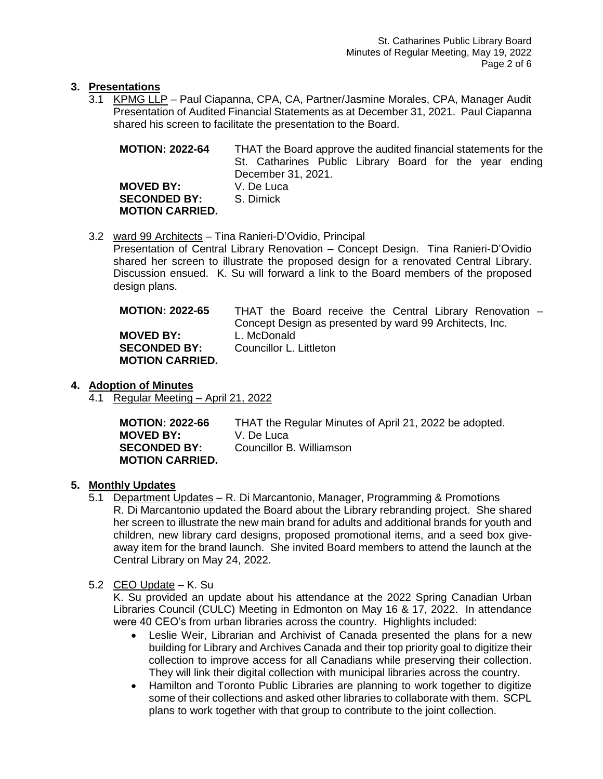# **3. Presentations**

3.1 KPMG LLP – Paul Ciapanna, CPA, CA, Partner/Jasmine Morales, CPA, Manager Audit Presentation of Audited Financial Statements as at December 31, 2021. Paul Ciapanna shared his screen to facilitate the presentation to the Board.

| <b>MOTION: 2022-64</b>                                            | THAT the Board approve the audited financial statements for the<br>St. Catharines Public Library Board for the year ending<br>December 31, 2021. |
|-------------------------------------------------------------------|--------------------------------------------------------------------------------------------------------------------------------------------------|
| <b>MOVED BY:</b><br><b>SECONDED BY:</b><br><b>MOTION CARRIED.</b> | V. De Luca<br>S. Dimick                                                                                                                          |

# 3.2 ward 99 Architects – Tina Ranieri-D'Ovidio, Principal

Presentation of Central Library Renovation – Concept Design. Tina Ranieri-D'Ovidio shared her screen to illustrate the proposed design for a renovated Central Library. Discussion ensued. K. Su will forward a link to the Board members of the proposed design plans.

| <b>MOTION: 2022-65</b> | THAT the Board receive the Central Library Renovation - |
|------------------------|---------------------------------------------------------|
|                        | Concept Design as presented by ward 99 Architects, Inc. |
| <b>MOVED BY:</b>       | L. McDonald                                             |
| <b>SECONDED BY:</b>    | Councillor L. Littleton                                 |
| <b>MOTION CARRIED.</b> |                                                         |

# **4. Adoption of Minutes**

4.1 Regular Meeting – April 21, 2022

| <b>MOTION: 2022-66</b> | THAT the Regular Minutes of April 21, 2022 be adopted. |
|------------------------|--------------------------------------------------------|
| <b>MOVED BY:</b>       | V. De Luca                                             |
| <b>SECONDED BY:</b>    | Councillor B. Williamson                               |
| <b>MOTION CARRIED.</b> |                                                        |

# **5. Monthly Updates**

5.1 Department Updates – R. Di Marcantonio, Manager, Programming & Promotions R. Di Marcantonio updated the Board about the Library rebranding project. She shared her screen to illustrate the new main brand for adults and additional brands for youth and children, new library card designs, proposed promotional items, and a seed box giveaway item for the brand launch. She invited Board members to attend the launch at the Central Library on May 24, 2022.

#### 5.2 CEO Update – K. Su

K. Su provided an update about his attendance at the 2022 Spring Canadian Urban Libraries Council (CULC) Meeting in Edmonton on May 16 & 17, 2022. In attendance were 40 CEO's from urban libraries across the country. Highlights included:

- Leslie Weir, Librarian and Archivist of Canada presented the plans for a new building for Library and Archives Canada and their top priority goal to digitize their collection to improve access for all Canadians while preserving their collection. They will link their digital collection with municipal libraries across the country.
- Hamilton and Toronto Public Libraries are planning to work together to digitize some of their collections and asked other libraries to collaborate with them. SCPL plans to work together with that group to contribute to the joint collection.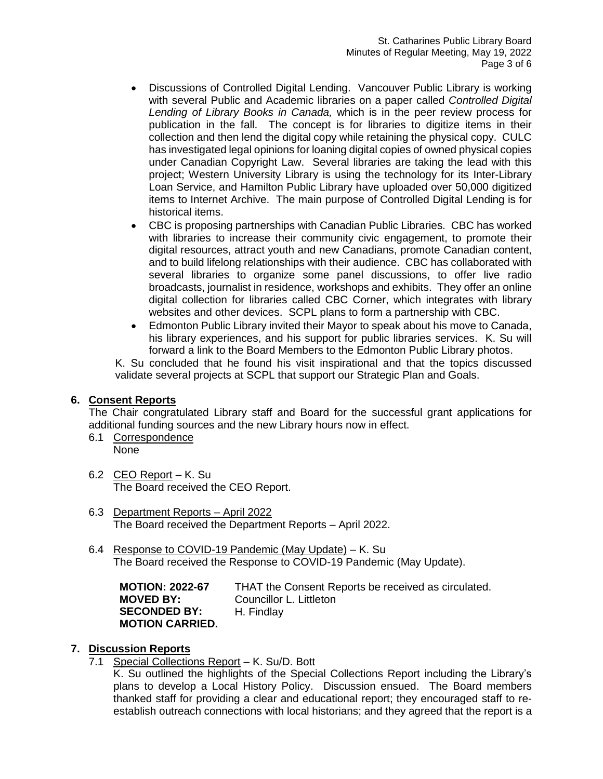- Discussions of Controlled Digital Lending. Vancouver Public Library is working with several Public and Academic libraries on a paper called *Controlled Digital Lending of Library Books in Canada,* which is in the peer review process for publication in the fall. The concept is for libraries to digitize items in their collection and then lend the digital copy while retaining the physical copy. CULC has investigated legal opinions for loaning digital copies of owned physical copies under Canadian Copyright Law. Several libraries are taking the lead with this project; Western University Library is using the technology for its Inter-Library Loan Service, and Hamilton Public Library have uploaded over 50,000 digitized items to Internet Archive. The main purpose of Controlled Digital Lending is for historical items.
- CBC is proposing partnerships with Canadian Public Libraries. CBC has worked with libraries to increase their community civic engagement, to promote their digital resources, attract youth and new Canadians, promote Canadian content, and to build lifelong relationships with their audience. CBC has collaborated with several libraries to organize some panel discussions, to offer live radio broadcasts, journalist in residence, workshops and exhibits. They offer an online digital collection for libraries called CBC Corner, which integrates with library websites and other devices. SCPL plans to form a partnership with CBC.
- Edmonton Public Library invited their Mayor to speak about his move to Canada, his library experiences, and his support for public libraries services. K. Su will forward a link to the Board Members to the Edmonton Public Library photos.

K. Su concluded that he found his visit inspirational and that the topics discussed validate several projects at SCPL that support our Strategic Plan and Goals.

#### **6. Consent Reports**

The Chair congratulated Library staff and Board for the successful grant applications for additional funding sources and the new Library hours now in effect.

- 6.1 Correspondence None
- 6.2 CEO Report K. Su The Board received the CEO Report.
- 6.3 Department Reports April 2022 The Board received the Department Reports – April 2022.
- 6.4 Response to COVID-19 Pandemic (May Update) K. Su The Board received the Response to COVID-19 Pandemic (May Update).

**MOTION: 2022-67** THAT the Consent Reports be received as circulated. **MOVED BY:** Councillor L. Littleton **SECONDED BY:** H. Findlay **MOTION CARRIED.**

# **7. Discussion Reports**

7.1 Special Collections Report – K. Su/D. Bott

K. Su outlined the highlights of the Special Collections Report including the Library's plans to develop a Local History Policy. Discussion ensued. The Board members thanked staff for providing a clear and educational report; they encouraged staff to reestablish outreach connections with local historians; and they agreed that the report is a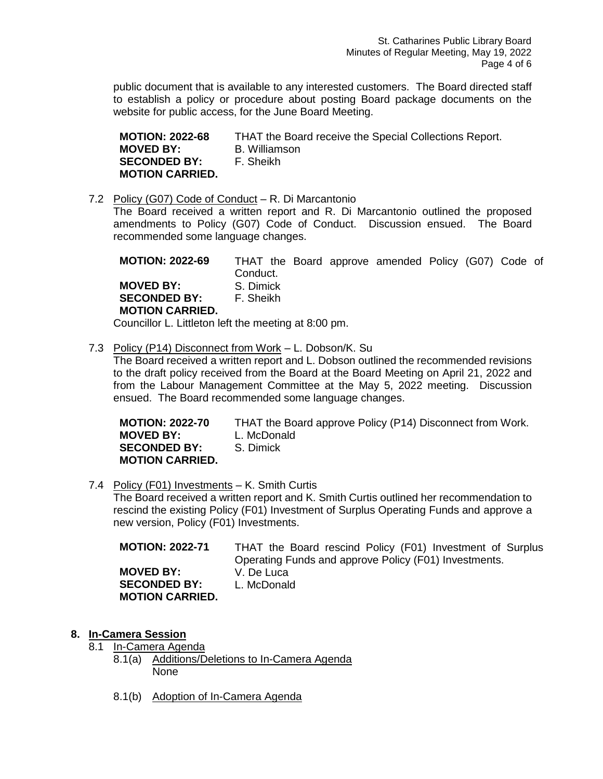public document that is available to any interested customers. The Board directed staff to establish a policy or procedure about posting Board package documents on the website for public access, for the June Board Meeting.

**MOTION: 2022-68** THAT the Board receive the Special Collections Report. **MOVED BY:** B. Williamson **SECONDED BY:** F. Sheikh **MOTION CARRIED.**

7.2 Policy (G07) Code of Conduct – R. Di Marcantonio

The Board received a written report and R. Di Marcantonio outlined the proposed amendments to Policy (G07) Code of Conduct. Discussion ensued. The Board recommended some language changes.

**MOTION: 2022-69** THAT the Board approve amended Policy (G07) Code of Conduct. **MOVED BY:** S. Dimick **SECONDED BY:** F. Sheikh **MOTION CARRIED.** Councillor L. Littleton left the meeting at 8:00 pm.

7.3 Policy (P14) Disconnect from Work – L. Dobson/K. Su

The Board received a written report and L. Dobson outlined the recommended revisions to the draft policy received from the Board at the Board Meeting on April 21, 2022 and from the Labour Management Committee at the May 5, 2022 meeting. Discussion ensued. The Board recommended some language changes.

| <b>MOTION: 2022-70</b> | THAT the Board approve Policy (P14) Disconnect from Work. |
|------------------------|-----------------------------------------------------------|
| <b>MOVED BY:</b>       | L. McDonald                                               |
| <b>SECONDED BY:</b>    | S. Dimick                                                 |
| <b>MOTION CARRIED.</b> |                                                           |

7.4 Policy (F01) Investments – K. Smith Curtis The Board received a written report and K. Smith Curtis outlined her recommendation to rescind the existing Policy (F01) Investment of Surplus Operating Funds and approve a new version, Policy (F01) Investments.

| <b>MOTION: 2022-71</b> | THAT the Board rescind Policy (F01) Investment of Surplus |
|------------------------|-----------------------------------------------------------|
|                        | Operating Funds and approve Policy (F01) Investments.     |
| <b>MOVED BY:</b>       | V. De Luca                                                |
| <b>SECONDED BY:</b>    | L. McDonald                                               |
| <b>MOTION CARRIED.</b> |                                                           |

- **8. In-Camera Session**
	- 8.1 In-Camera Agenda
		- 8.1(a) Additions/Deletions to In-Camera Agenda None
			- 8.1(b) Adoption of In-Camera Agenda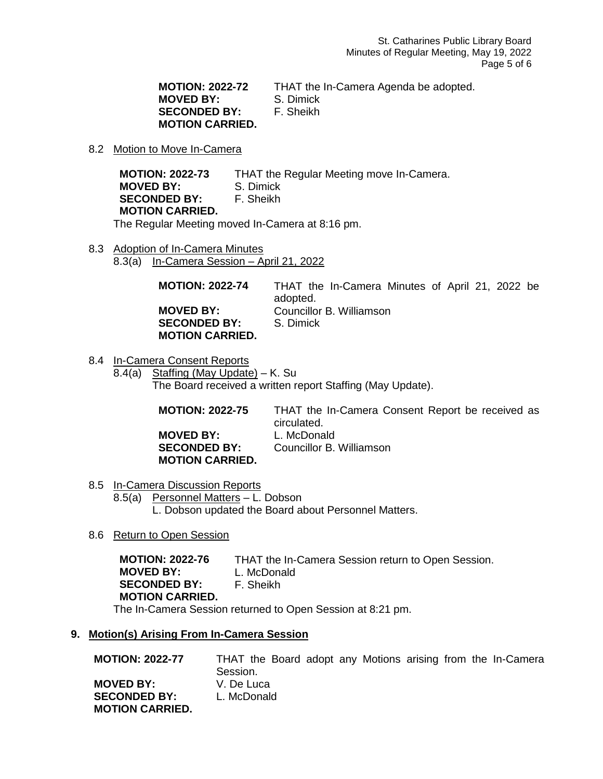**MOTION: 2022-72** THAT the In-Camera Agenda be adopted. **MOVED BY:** S. Dimick **SECONDED BY:** F. Sheikh **MOTION CARRIED.**

#### 8.2 Motion to Move In-Camera

**MOTION: 2022-73** THAT the Regular Meeting move In-Camera. **MOVED BY:** S. Dimick **SECONDED BY:** F. Sheikh **MOTION CARRIED.**

The Regular Meeting moved In-Camera at 8:16 pm.

8.3 Adoption of In-Camera Minutes 8.3(a) In-Camera Session – April 21, 2022

> **MOTION: 2022-74** THAT the In-Camera Minutes of April 21, 2022 be adopted. **MOVED BY:** Councillor B. Williamson **SECONDED BY:** S. Dimick **MOTION CARRIED.**

8.4 In-Camera Consent Reports 8.4(a) Staffing (May Update) – K. Su The Board received a written report Staffing (May Update).

> **MOTION: 2022-75** THAT the In-Camera Consent Report be received as circulated. **MOVED BY:** L. McDonald **SECONDED BY:** Councillor B. Williamson **MOTION CARRIED.**

- 8.5 In-Camera Discussion Reports 8.5(a) Personnel Matters – L. Dobson L. Dobson updated the Board about Personnel Matters.
- 8.6 Return to Open Session

**MOTION: 2022-76** THAT the In-Camera Session return to Open Session. **MOVED BY:** L. McDonald **SECONDED BY:** F. Sheikh **MOTION CARRIED.** The In-Camera Session returned to Open Session at 8:21 pm.

#### **9. Motion(s) Arising From In-Camera Session**

**MOTION: 2022-77** THAT the Board adopt any Motions arising from the In-Camera Session. **MOVED BY:** V. De Luca **SECONDED BY:** L. McDonald **MOTION CARRIED.**